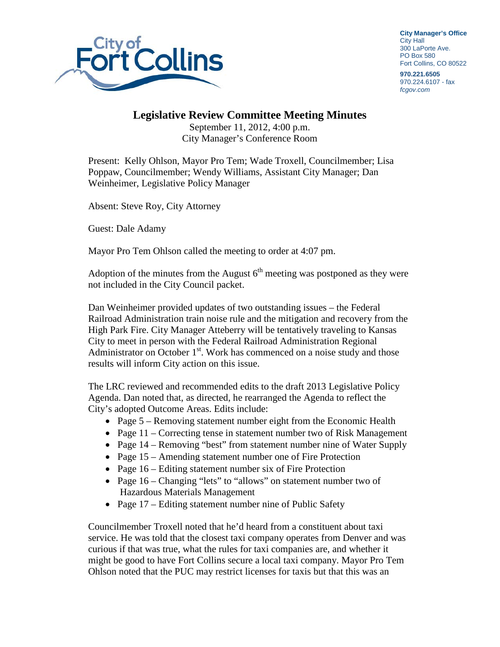

**City Manager's Office** City Hall 300 LaPorte Ave. PO Box 580 Fort Collins, CO 80522

**970.221.6505** 970.224.6107 - fax *fcgov.com*

## **Legislative Review Committee Meeting Minutes**

September 11, 2012, 4:00 p.m. City Manager's Conference Room

Present: Kelly Ohlson, Mayor Pro Tem; Wade Troxell, Councilmember; Lisa Poppaw, Councilmember; Wendy Williams, Assistant City Manager; Dan Weinheimer, Legislative Policy Manager

Absent: Steve Roy, City Attorney

Guest: Dale Adamy

Mayor Pro Tem Ohlson called the meeting to order at 4:07 pm.

Adoption of the minutes from the August  $6<sup>th</sup>$  meeting was postponed as they were not included in the City Council packet.

Dan Weinheimer provided updates of two outstanding issues – the Federal Railroad Administration train noise rule and the mitigation and recovery from the High Park Fire. City Manager Atteberry will be tentatively traveling to Kansas City to meet in person with the Federal Railroad Administration Regional Administrator on October  $1<sup>st</sup>$ . Work has commenced on a noise study and those results will inform City action on this issue.

The LRC reviewed and recommended edits to the draft 2013 Legislative Policy Agenda. Dan noted that, as directed, he rearranged the Agenda to reflect the City's adopted Outcome Areas. Edits include:

- Page 5 Removing statement number eight from the Economic Health
- Page 11 Correcting tense in statement number two of Risk Management
- Page 14 Removing "best" from statement number nine of Water Supply
- Page 15 Amending statement number one of Fire Protection
- Page 16 Editing statement number six of Fire Protection
- Page 16 Changing "lets" to "allows" on statement number two of Hazardous Materials Management
- Page 17 Editing statement number nine of Public Safety

Councilmember Troxell noted that he'd heard from a constituent about taxi service. He was told that the closest taxi company operates from Denver and was curious if that was true, what the rules for taxi companies are, and whether it might be good to have Fort Collins secure a local taxi company. Mayor Pro Tem Ohlson noted that the PUC may restrict licenses for taxis but that this was an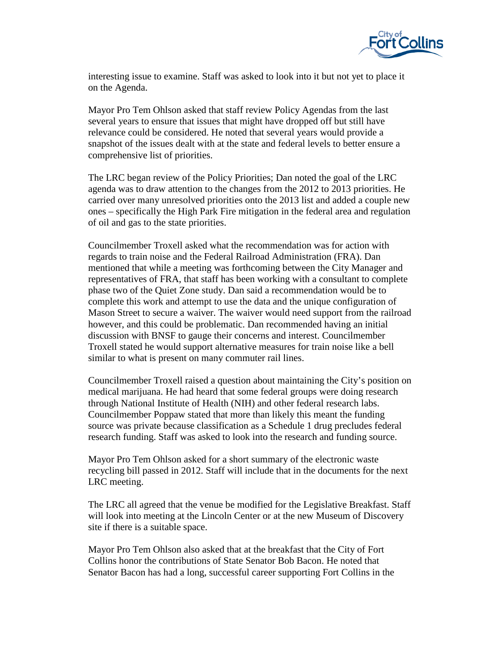

interesting issue to examine. Staff was asked to look into it but not yet to place it on the Agenda.

Mayor Pro Tem Ohlson asked that staff review Policy Agendas from the last several years to ensure that issues that might have dropped off but still have relevance could be considered. He noted that several years would provide a snapshot of the issues dealt with at the state and federal levels to better ensure a comprehensive list of priorities.

The LRC began review of the Policy Priorities; Dan noted the goal of the LRC agenda was to draw attention to the changes from the 2012 to 2013 priorities. He carried over many unresolved priorities onto the 2013 list and added a couple new ones – specifically the High Park Fire mitigation in the federal area and regulation of oil and gas to the state priorities.

Councilmember Troxell asked what the recommendation was for action with regards to train noise and the Federal Railroad Administration (FRA). Dan mentioned that while a meeting was forthcoming between the City Manager and representatives of FRA, that staff has been working with a consultant to complete phase two of the Quiet Zone study. Dan said a recommendation would be to complete this work and attempt to use the data and the unique configuration of Mason Street to secure a waiver. The waiver would need support from the railroad however, and this could be problematic. Dan recommended having an initial discussion with BNSF to gauge their concerns and interest. Councilmember Troxell stated he would support alternative measures for train noise like a bell similar to what is present on many commuter rail lines.

Councilmember Troxell raised a question about maintaining the City's position on medical marijuana. He had heard that some federal groups were doing research through National Institute of Health (NIH) and other federal research labs. Councilmember Poppaw stated that more than likely this meant the funding source was private because classification as a Schedule 1 drug precludes federal research funding. Staff was asked to look into the research and funding source.

Mayor Pro Tem Ohlson asked for a short summary of the electronic waste recycling bill passed in 2012. Staff will include that in the documents for the next LRC meeting.

The LRC all agreed that the venue be modified for the Legislative Breakfast. Staff will look into meeting at the Lincoln Center or at the new Museum of Discovery site if there is a suitable space.

Mayor Pro Tem Ohlson also asked that at the breakfast that the City of Fort Collins honor the contributions of State Senator Bob Bacon. He noted that Senator Bacon has had a long, successful career supporting Fort Collins in the